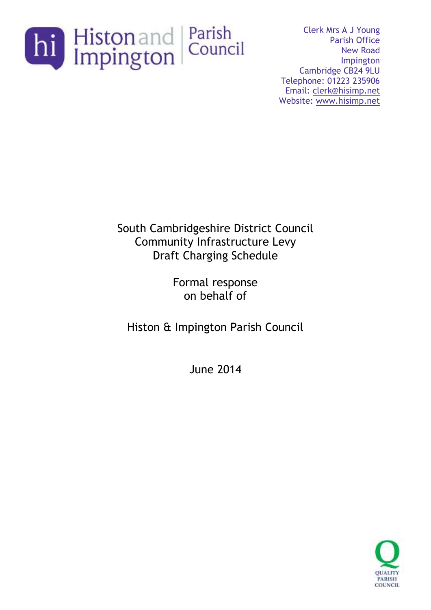

Clerk Mrs A J Young Parish Office New Road Impington Cambridge CB24 9LU Telephone: 01223 235906 Email: [clerk@hisimp.net](mailto:clerk@hisimp.net) Website: [www.hisimp.net](http://www.hisimp.net/)

South Cambridgeshire District Council Community Infrastructure Levy Draft Charging Schedule

> Formal response on behalf of

Histon & Impington Parish Council

June 2014

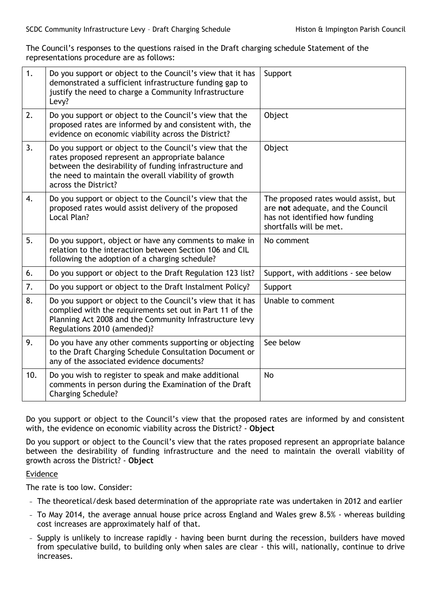The Council's responses to the questions raised in the Draft charging schedule Statement of the representations procedure are as follows:

| 1.  | Do you support or object to the Council's view that it has<br>demonstrated a sufficient infrastructure funding gap to<br>justify the need to charge a Community Infrastructure<br>Levy?                                                              | Support                                                                                                                                |
|-----|------------------------------------------------------------------------------------------------------------------------------------------------------------------------------------------------------------------------------------------------------|----------------------------------------------------------------------------------------------------------------------------------------|
| 2.  | Do you support or object to the Council's view that the<br>proposed rates are informed by and consistent with, the<br>evidence on economic viability across the District?                                                                            | Object                                                                                                                                 |
| 3.  | Do you support or object to the Council's view that the<br>rates proposed represent an appropriate balance<br>between the desirability of funding infrastructure and<br>the need to maintain the overall viability of growth<br>across the District? | Object                                                                                                                                 |
| 4.  | Do you support or object to the Council's view that the<br>proposed rates would assist delivery of the proposed<br>Local Plan?                                                                                                                       | The proposed rates would assist, but<br>are not adequate, and the Council<br>has not identified how funding<br>shortfalls will be met. |
| 5.  | Do you support, object or have any comments to make in<br>relation to the interaction between Section 106 and CIL<br>following the adoption of a charging schedule?                                                                                  | No comment                                                                                                                             |
| 6.  | Do you support or object to the Draft Regulation 123 list?                                                                                                                                                                                           | Support, with additions - see below                                                                                                    |
| 7.  | Do you support or object to the Draft Instalment Policy?                                                                                                                                                                                             | Support                                                                                                                                |
| 8.  | Do you support or object to the Council's view that it has<br>complied with the requirements set out in Part 11 of the<br>Planning Act 2008 and the Community Infrastructure levy<br>Regulations 2010 (amended)?                                     | Unable to comment                                                                                                                      |
| 9.  | Do you have any other comments supporting or objecting<br>to the Draft Charging Schedule Consultation Document or<br>any of the associated evidence documents?                                                                                       | See below                                                                                                                              |
| 10. | Do you wish to register to speak and make additional<br>comments in person during the Examination of the Draft<br><b>Charging Schedule?</b>                                                                                                          | <b>No</b>                                                                                                                              |

Do you support or object to the Council's view that the proposed rates are informed by and consistent with, the evidence on economic viability across the District? - **Object**

Do you support or object to the Council's view that the rates proposed represent an appropriate balance between the desirability of funding infrastructure and the need to maintain the overall viability of growth across the District? - **Object**

## Evidence

The rate is too low. Consider:

- − The theoretical/desk based determination of the appropriate rate was undertaken in 2012 and earlier
- − To May 2014, the average annual house price across England and Wales grew 8.5% whereas building cost increases are approximately half of that.
- − Supply is unlikely to increase rapidly having been burnt during the recession, builders have moved from speculative build, to building only when sales are clear - this will, nationally, continue to drive increases.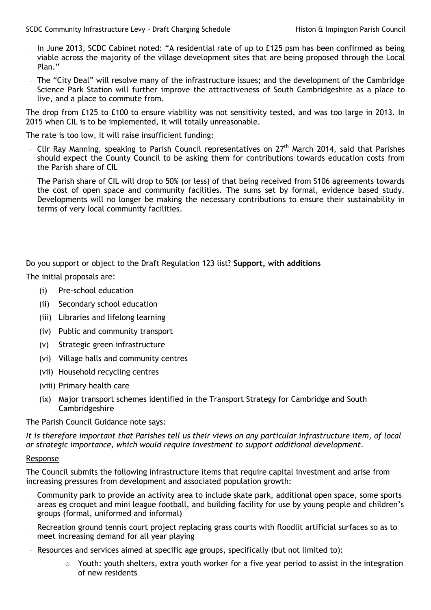- − In June 2013, SCDC Cabinet noted: "A residential rate of up to £125 psm has been confirmed as being viable across the majority of the village development sites that are being proposed through the Local Plan."
- − The "City Deal" will resolve many of the infrastructure issues; and the development of the Cambridge Science Park Station will further improve the attractiveness of South Cambridgeshire as a place to live, and a place to commute from.

The drop from £125 to £100 to ensure viability was not sensitivity tested, and was too large in 2013. In 2015 when CIL is to be implemented, it will totally unreasonable.

The rate is too low, it will raise insufficient funding:

- − Cllr Ray Manning, speaking to Parish Council representatives on 27<sup>th</sup> March 2014, said that Parishes should expect the County Council to be asking them for contributions towards education costs from the Parish share of CIL
- − The Parish share of CIL will drop to 50% (or less) of that being received from S106 agreements towards the cost of open space and community facilities. The sums set by formal, evidence based study. Developments will no longer be making the necessary contributions to ensure their sustainability in terms of very local community facilities.

Do you support or object to the Draft Regulation 123 list? **Support, with additions**

The initial proposals are:

- (i) Pre-school education
- (ii) Secondary school education
- (iii) Libraries and lifelong learning
- (iv) Public and community transport
- (v) Strategic green infrastructure
- (vi) Village halls and community centres
- (vii) Household recycling centres
- (viii) Primary health care
- (ix) Major transport schemes identified in the Transport Strategy for Cambridge and South Cambridgeshire

The Parish Council Guidance note says:

*It is therefore important that Parishes tell us their views on any particular infrastructure item, of local or strategic importance, which would require investment to support additional development.*

## Response

The Council submits the following infrastructure items that require capital investment and arise from increasing pressures from development and associated population growth:

- − Community park to provide an activity area to include skate park, additional open space, some sports areas eg croquet and mini league football, and building facility for use by young people and children's groups (formal, uniformed and informal)
- − Recreation ground tennis court project replacing grass courts with floodlit artificial surfaces so as to meet increasing demand for all year playing
- − Resources and services aimed at specific age groups, specifically (but not limited to):
	- $\circ$  Youth: youth shelters, extra youth worker for a five year period to assist in the integration of new residents